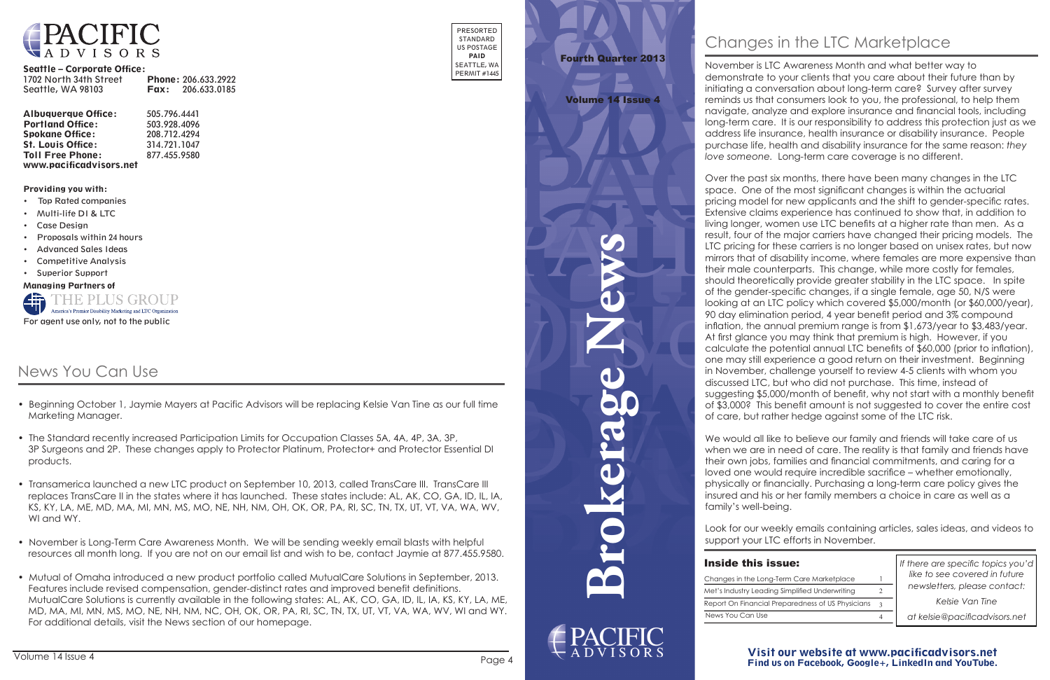**Brokerage News**

 $\blacktriangledown$ 

20

#### Visit our website at www.pacificadvisors.net Find us on Facebook, Google+, LinkedIn and YouTube.



#### Seattle – Corporate Office:

| 1702 North 34th Street |      | <b>Phone: 206.633.2922</b> |
|------------------------|------|----------------------------|
| Seattle, WA 98103      | Fax: | 206.633.0185               |

| <b>Albuquerque Office:</b> | 505.796.4441 |
|----------------------------|--------------|
| <b>Portland Office:</b>    | 503.928.4096 |
| <b>Spokane Office:</b>     | 208.712.4294 |
| <b>St. Louis Office:</b>   | 314.721.1047 |
| <b>Toll Free Phone:</b>    | 877.455.9580 |
| www.pacificadvisors.net    |              |

PRESORTED STANDARD US POSTAGE PAID SEATTLE, WA PERMIT #1445

Providing you with:

- Top Rated companies
- Multi-life DI & LTC
- Case Design
- Proposals within 24 hours
- Advanced Sales Ideas
- Competitive Analysis
- Superior Support

Managing Partners of



*If there are specific topics you'd like to see covered in future newsletters, please contact:*

*Kelsie Van Tine*

*at kelsie@pacificadvisors.net*

| Changes in the Long   |
|-----------------------|
| Met's Industry Leadir |
| Report On Financial   |
| News You Can Use      |

| <b>Inside this issue:</b>                         |  |
|---------------------------------------------------|--|
| Changes in the Long-Term Care Marketplace         |  |
| Met's Industry Leading Simplified Underwriting    |  |
| Report On Financial Preparedness of US Physicians |  |
| News You Can Use                                  |  |

# Fourth Quarter 2013

#### Volume 14 Issue 4

November is LTC Awareness Month and what better way to demonstrate to your clients that you care about their future than by initiating a conversation about long-term care? Survey after survey reminds us that consumers look to you, the professional, to help them navigate, analyze and explore insurance and financial tools, including long-term care. It is our responsibility to address this protection just as we address life insurance, health insurance or disability insurance. People purchase life, health and disability insurance for the same reason: *they love someone.* Long-term care coverage is no different.

We would all like to believe our family and friends will take care of us when we are in need of care. The reality is that family and friends have their own jobs, families and financial commitments, and caring for a loved one would require incredible sacrifice – whether emotionally, physically or financially. Purchasing a long-term care policy gives the insured and his or her family members a choice in care as well as a family's well-being.

Over the past six months, there have been many changes in the LTC space. One of the most significant changes is within the actuarial pricing model for new applicants and the shift to gender-specific rates. Extensive claims experience has continued to show that, in addition to living longer, women use LTC benefits at a higher rate than men. As a result, four of the major carriers have changed their pricing models. The LTC pricing for these carriers is no longer based on unisex rates, but now mirrors that of disability income, where females are more expensive than their male counterparts. This change, while more costly for females, should theoretically provide greater stability in the LTC space. In spite of the gender-specific changes, if a single female, age 50, N/S were looking at an LTC policy which covered \$5,000/month (or \$60,000/year), 90 day elimination period, 4 year benefit period and 3% compound inflation, the annual premium range is from \$1,673/year to \$3,483/year. At first glance you may think that premium is high. However, if you calculate the potential annual LTC benefits of \$60,000 (prior to inflation), one may still experience a good return on their investment. Beginning in November, challenge yourself to review 4-5 clients with whom you discussed LTC, but who did not purchase. This time, instead of suggesting \$5,000/month of benefit, why not start with a monthly benefit of \$3,000? This benefit amount is not suggested to cover the entire cost of care, but rather hedge against some of the LTC risk.

Look for our weekly emails containing articles, sales ideas, and videos to support your LTC efforts in November.

### **Inside this is**

## News You Can Use

- Beginning October 1, Jaymie Mayers at Pacific Advisors will be replacing Kelsie Van Tine as our full time Marketing Manager.
- The Standard recently increased Participation Limits for Occupation Classes 5A, 4A, 4P, 3A, 3P, 3P Surgeons and 2P. These changes apply to Protector Platinum, Protector+ and Protector Essential DI products.
- Transamerica launched a new LTC product on September 10, 2013, called TransCare III. TransCare III replaces TransCare II in the states where it has launched. These states include: AL, AK, CO, GA, ID, IL, IA, KS, KY, LA, ME, MD, MA, MI, MN, MS, MO, NE, NH, NM, OH, OK, OR, PA, RI, SC, TN, TX, UT, VT, VA, WA, WV, WI and WY.
- November is Long-Term Care Awareness Month. We will be sending weekly email blasts with helpful resources all month long. If you are not on our email list and wish to be, contact Jaymie at 877.455.9580.
- Mutual of Omaha introduced a new product portfolio called MutualCare Solutions in September, 2013. Features include revised compensation, gender-distinct rates and improved benefit definitions. MutualCare Solutions is currently available in the following states: AL, AK, CO, GA, ID, IL, IA, KS, KY, LA, ME, MD, MA, MI, MN, MS, MO, NE, NH, NM, NC, OH, OK, OR, PA, RI, SC, TN, TX, UT, VT, VA, WA, WV, WI and WY. For additional details, visit the News section of our homepage.